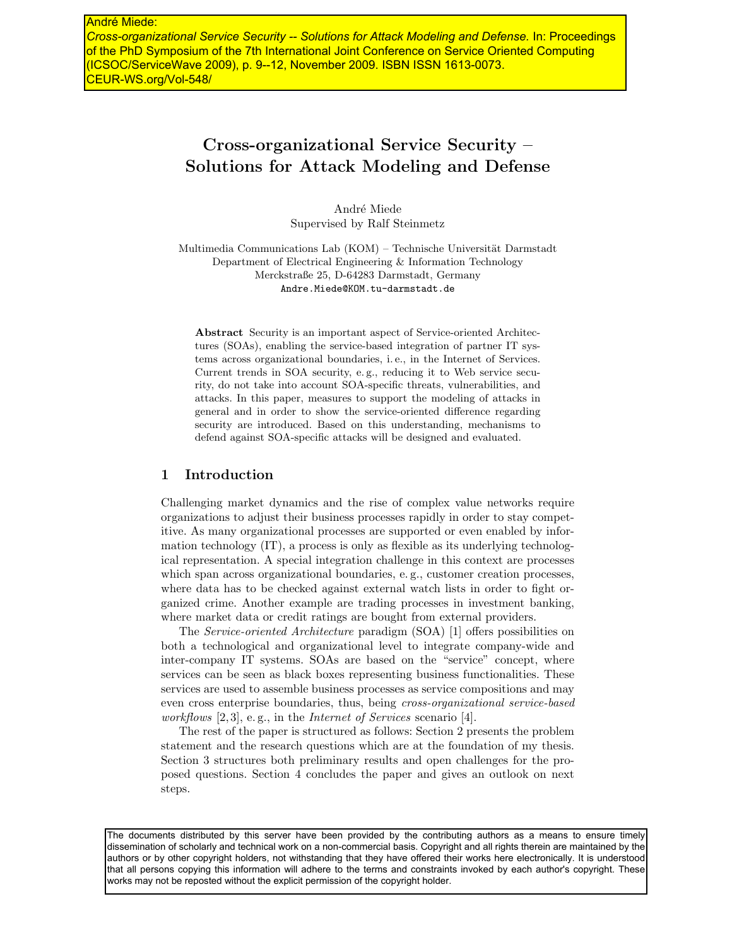*Cross-organizational Service Security -- Solutions for Attack Modeling and Defense.* In: Proceedings of the PhD Symposium of the 7th International Joint Conference on Service Oriented Computing (ICSOC/ServiceWave 2009), p. 9--12, November 2009. ISBN ISSN 1613-0073. CEUR-WS.org/Vol-548/

# Cross-organizational Service Security – Solutions for Attack Modeling and Defense

André Miede Supervised by Ralf Steinmetz

Multimedia Communications Lab (KOM) – Technische Universität Darmstadt Department of Electrical Engineering & Information Technology Merckstraße 25, D-64283 Darmstadt, Germany Andre.Miede@KOM.tu-darmstadt.de

Abstract Security is an important aspect of Service-oriented Architectures (SOAs), enabling the service-based integration of partner IT systems across organizational boundaries, i. e., in the Internet of Services. Current trends in SOA security, e. g., reducing it to Web service security, do not take into account SOA-specific threats, vulnerabilities, and attacks. In this paper, measures to support the modeling of attacks in general and in order to show the service-oriented difference regarding security are introduced. Based on this understanding, mechanisms to defend against SOA-specific attacks will be designed and evaluated.

## 1 Introduction

Challenging market dynamics and the rise of complex value networks require organizations to adjust their business processes rapidly in order to stay competitive. As many organizational processes are supported or even enabled by information technology (IT), a process is only as flexible as its underlying technological representation. A special integration challenge in this context are processes which span across organizational boundaries, e.g., customer creation processes, where data has to be checked against external watch lists in order to fight organized crime. Another example are trading processes in investment banking, where market data or credit ratings are bought from external providers.

The Service-oriented Architecture paradigm (SOA) [1] offers possibilities on both a technological and organizational level to integrate company-wide and inter-company IT systems. SOAs are based on the "service" concept, where services can be seen as black boxes representing business functionalities. These services are used to assemble business processes as service compositions and may even cross enterprise boundaries, thus, being cross-organizational service-based workflows [2, 3], e.g., in the *Internet of Services* scenario [4].

The rest of the paper is structured as follows: Section 2 presents the problem statement and the research questions which are at the foundation of my thesis. Section 3 structures both preliminary results and open challenges for the proposed questions. Section 4 concludes the paper and gives an outlook on next steps.

The documents distributed by this server have been provided by the contributing authors as a means to ensure timely dissemination of scholarly and technical work on a non-commercial basis. Copyright and all rights therein are maintained by the authors or by other copyright holders, not withstanding that they have offered their works here electronically. It is understood that all persons copying this information will adhere to the terms and constraints invoked by each author's copyright. These works may not be reposted without the explicit permission of the copyright holder.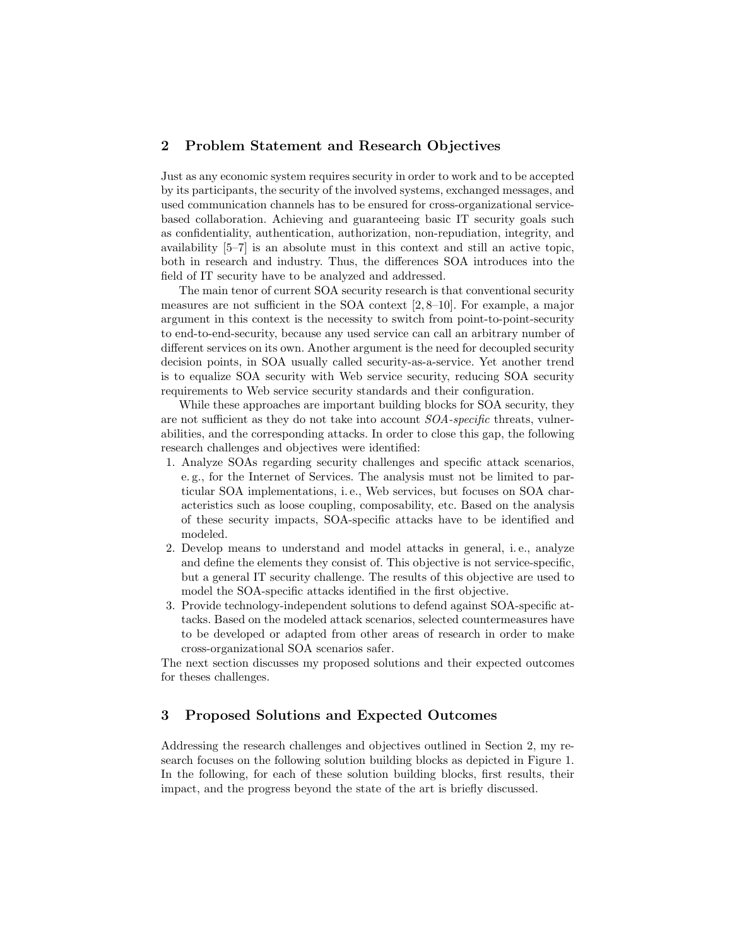# 2 Problem Statement and Research Objectives

Just as any economic system requires security in order to work and to be accepted by its participants, the security of the involved systems, exchanged messages, and used communication channels has to be ensured for cross-organizational servicebased collaboration. Achieving and guaranteeing basic IT security goals such as confidentiality, authentication, authorization, non-repudiation, integrity, and availability [5–7] is an absolute must in this context and still an active topic, both in research and industry. Thus, the differences SOA introduces into the field of IT security have to be analyzed and addressed.

The main tenor of current SOA security research is that conventional security measures are not sufficient in the SOA context [2, 8–10]. For example, a major argument in this context is the necessity to switch from point-to-point-security to end-to-end-security, because any used service can call an arbitrary number of different services on its own. Another argument is the need for decoupled security decision points, in SOA usually called security-as-a-service. Yet another trend is to equalize SOA security with Web service security, reducing SOA security requirements to Web service security standards and their configuration.

While these approaches are important building blocks for SOA security, they are not sufficient as they do not take into account SOA-specific threats, vulnerabilities, and the corresponding attacks. In order to close this gap, the following research challenges and objectives were identified:

- 1. Analyze SOAs regarding security challenges and specific attack scenarios, e. g., for the Internet of Services. The analysis must not be limited to particular SOA implementations, i. e., Web services, but focuses on SOA characteristics such as loose coupling, composability, etc. Based on the analysis of these security impacts, SOA-specific attacks have to be identified and modeled.
- 2. Develop means to understand and model attacks in general, i. e., analyze and define the elements they consist of. This objective is not service-specific, but a general IT security challenge. The results of this objective are used to model the SOA-specific attacks identified in the first objective.
- 3. Provide technology-independent solutions to defend against SOA-specific attacks. Based on the modeled attack scenarios, selected countermeasures have to be developed or adapted from other areas of research in order to make cross-organizational SOA scenarios safer.

The next section discusses my proposed solutions and their expected outcomes for theses challenges.

## 3 Proposed Solutions and Expected Outcomes

Addressing the research challenges and objectives outlined in Section 2, my research focuses on the following solution building blocks as depicted in Figure 1. In the following, for each of these solution building blocks, first results, their impact, and the progress beyond the state of the art is briefly discussed.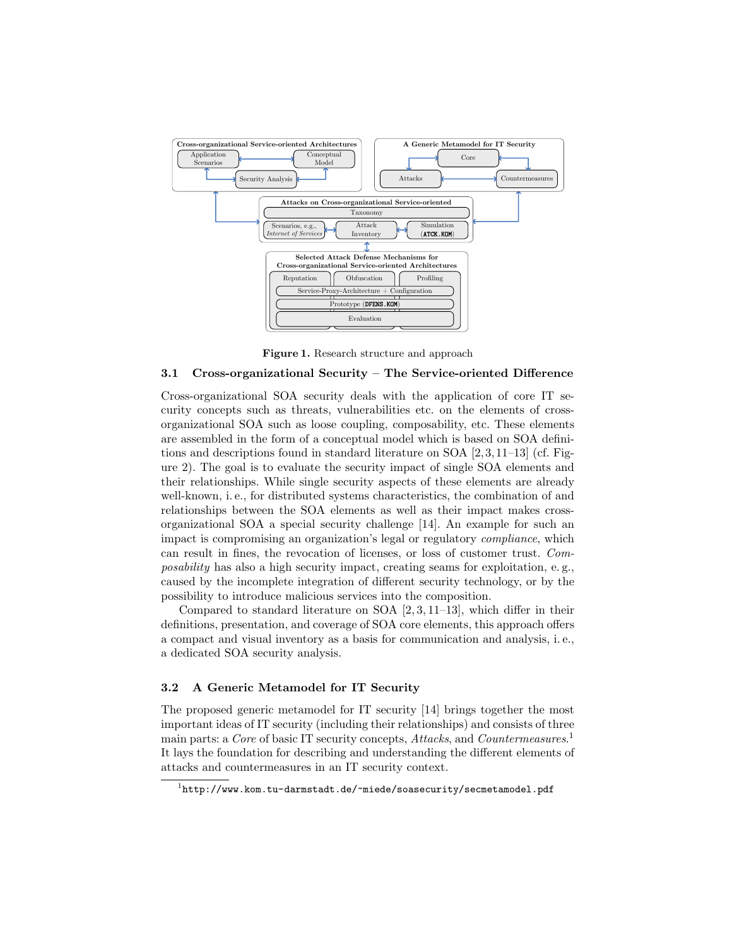

Figure 1. Research structure and approach

# 3.1 Cross-organizational Security – The Service-oriented Difference

Cross-organizational SOA security deals with the application of core IT security concepts such as threats, vulnerabilities etc. on the elements of crossorganizational SOA such as loose coupling, composability, etc. These elements are assembled in the form of a conceptual model which is based on SOA definitions and descriptions found in standard literature on SOA [2, 3, 11–13] (cf. Figure 2). The goal is to evaluate the security impact of single SOA elements and their relationships. While single security aspects of these elements are already well-known, i.e., for distributed systems characteristics, the combination of and relationships between the SOA elements as well as their impact makes crossorganizational SOA a special security challenge [14]. An example for such an impact is compromising an organization's legal or regulatory compliance, which can result in fines, the revocation of licenses, or loss of customer trust. Composability has also a high security impact, creating seams for exploitation, e. g., caused by the incomplete integration of different security technology, or by the possibility to introduce malicious services into the composition.

Compared to standard literature on SOA [2, 3, 11–13], which differ in their definitions, presentation, and coverage of SOA core elements, this approach offers a compact and visual inventory as a basis for communication and analysis, i. e., a dedicated SOA security analysis.

#### 3.2 A Generic Metamodel for IT Security

The proposed generic metamodel for IT security [14] brings together the most important ideas of IT security (including their relationships) and consists of three main parts: a Core of basic IT security concepts, Attacks, and Countermeasures.<sup>1</sup> It lays the foundation for describing and understanding the different elements of attacks and countermeasures in an IT security context.

 $^{\rm 1}$ http://www.kom.tu-darmstadt.de/~miede/soasecurity/secmetamodel.pdf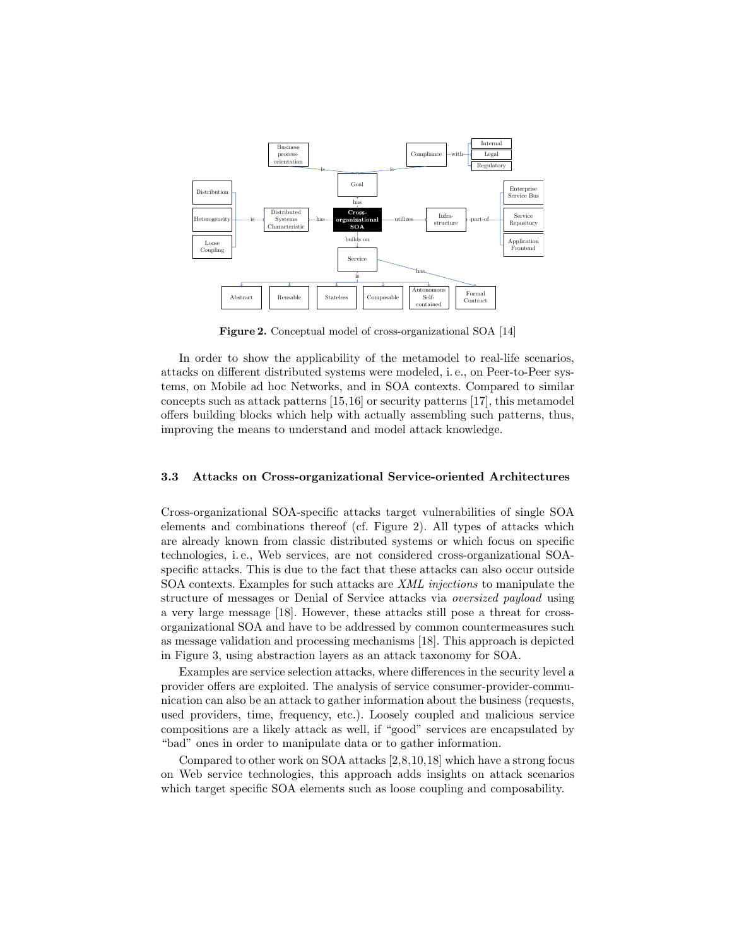

Figure 2. Conceptual model of cross-organizational SOA [14]

In order to show the applicability of the metamodel to real-life scenarios, attacks on different distributed systems were modeled, i. e., on Peer-to-Peer systems, on Mobile ad hoc Networks, and in SOA contexts. Compared to similar concepts such as attack patterns [15,16] or security patterns [17], this metamodel offers building blocks which help with actually assembling such patterns, thus, improving the means to understand and model attack knowledge.

#### 3.3 Attacks on Cross-organizational Service-oriented Architectures

Cross-organizational SOA-specific attacks target vulnerabilities of single SOA elements and combinations thereof (cf. Figure 2). All types of attacks which are already known from classic distributed systems or which focus on specific technologies, i. e., Web services, are not considered cross-organizational SOAspecific attacks. This is due to the fact that these attacks can also occur outside SOA contexts. Examples for such attacks are XML injections to manipulate the structure of messages or Denial of Service attacks via oversized payload using a very large message [18]. However, these attacks still pose a threat for crossorganizational SOA and have to be addressed by common countermeasures such as message validation and processing mechanisms [18]. This approach is depicted in Figure 3, using abstraction layers as an attack taxonomy for SOA.

Examples are service selection attacks, where differences in the security level a provider offers are exploited. The analysis of service consumer-provider-communication can also be an attack to gather information about the business (requests, used providers, time, frequency, etc.). Loosely coupled and malicious service compositions are a likely attack as well, if "good" services are encapsulated by "bad" ones in order to manipulate data or to gather information.

Compared to other work on SOA attacks [2,8,10,18] which have a strong focus on Web service technologies, this approach adds insights on attack scenarios which target specific SOA elements such as loose coupling and composability.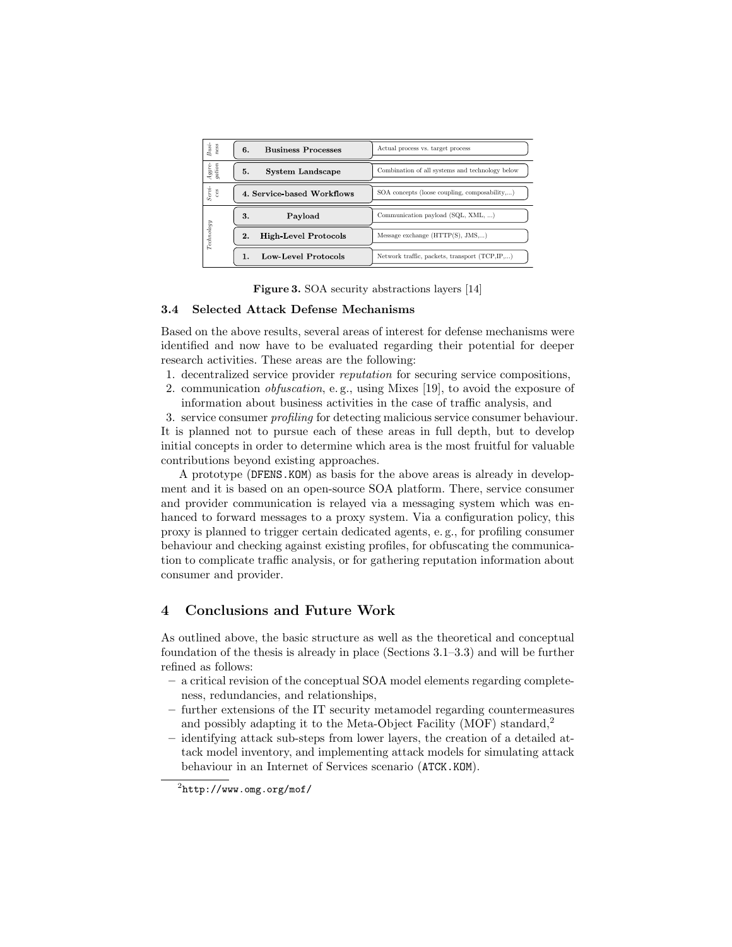| $Busi$ -<br>$\operatorname{ness}$ | <b>Business Processes</b><br>6.   | Actual process vs. target process               |
|-----------------------------------|-----------------------------------|-------------------------------------------------|
| Aggre-<br>gation                  | System Landscape<br>5.            | Combination of all systems and technology below |
| $Servi$ -<br>292                  | 4. Service based Workflows        | SOA concepts (loose coupling, composability)    |
| Technology                        | Payload<br>3.                     | Communication payload (SQL, XML, )              |
|                                   | <b>High-Level Protocols</b><br>2. | Message exchange $(HTTP(S), JMS,)$              |
|                                   | Low-Level Protocols<br>1.         | Network traffic, packets, transport (TCP,IP,)   |

Figure 3. SOA security abstractions layers [14]

### 3.4 Selected Attack Defense Mechanisms

Based on the above results, several areas of interest for defense mechanisms were identified and now have to be evaluated regarding their potential for deeper research activities. These areas are the following:

- 1. decentralized service provider reputation for securing service compositions,
- 2. communication obfuscation, e. g., using Mixes [19], to avoid the exposure of information about business activities in the case of traffic analysis, and

3. service consumer profiling for detecting malicious service consumer behaviour. It is planned not to pursue each of these areas in full depth, but to develop initial concepts in order to determine which area is the most fruitful for valuable contributions beyond existing approaches.

A prototype (DFENS.KOM) as basis for the above areas is already in development and it is based on an open-source SOA platform. There, service consumer and provider communication is relayed via a messaging system which was enhanced to forward messages to a proxy system. Via a configuration policy, this proxy is planned to trigger certain dedicated agents, e. g., for profiling consumer behaviour and checking against existing profiles, for obfuscating the communication to complicate traffic analysis, or for gathering reputation information about consumer and provider.

# 4 Conclusions and Future Work

As outlined above, the basic structure as well as the theoretical and conceptual foundation of the thesis is already in place (Sections 3.1–3.3) and will be further refined as follows:

- a critical revision of the conceptual SOA model elements regarding completeness, redundancies, and relationships,
- further extensions of the IT security metamodel regarding countermeasures and possibly adapting it to the Meta-Object Facility (MOF) standard,<sup>2</sup>
- identifying attack sub-steps from lower layers, the creation of a detailed attack model inventory, and implementing attack models for simulating attack behaviour in an Internet of Services scenario (ATCK.KOM).

 $^{2}$ http://www.omg.org/mof/